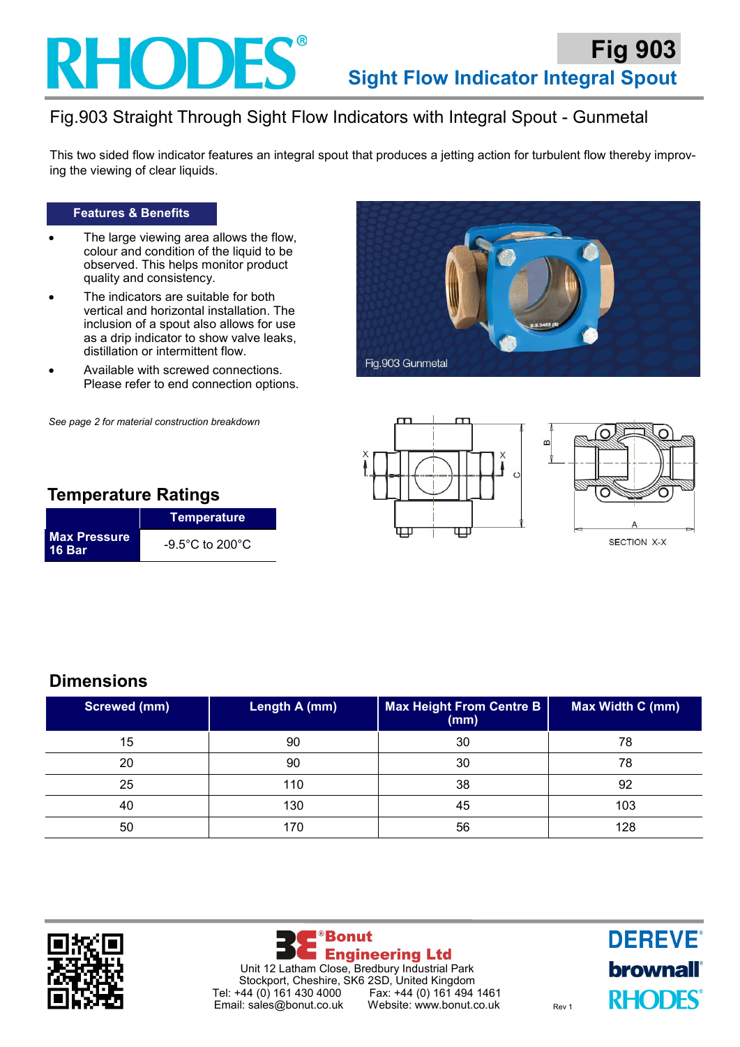## RHODES

### Fig.903 Straight Through Sight Flow Indicators with Integral Spout - Gunmetal

This two sided flow indicator features an integral spout that produces a jetting action for turbulent flow thereby improving the viewing of clear liquids.

#### **Features & Benefits**

- The large viewing area allows the flow, colour and condition of the liquid to be observed. This helps monitor product quality and consistency.
- The indicators are suitable for both vertical and horizontal installation. The inclusion of a spout also allows for use as a drip indicator to show valve leaks, distillation or intermittent flow.
- Available with screwed connections. Please refer to end connection options.

*See page 2 for material construction breakdown*







#### **Temperature Ratings**

|                                      | Temperature                          |
|--------------------------------------|--------------------------------------|
| <b>Max Pressure</b><br><b>16 Bar</b> | $-9.5^{\circ}$ C to 200 $^{\circ}$ C |

#### **Dimensions**

| <b>Screwed (mm)</b> | Length A (mm) | <b>Max Height From Centre B</b><br>(mm) | Max Width C (mm) |
|---------------------|---------------|-----------------------------------------|------------------|
| 15                  | 90            | 30                                      | 78               |
| 20                  | 90            | 30                                      | 78               |
| 25                  | 110           | 38                                      | 92               |
| 40                  | 130           | 45                                      | 103              |
| 50                  | 170           | 56                                      | 128              |